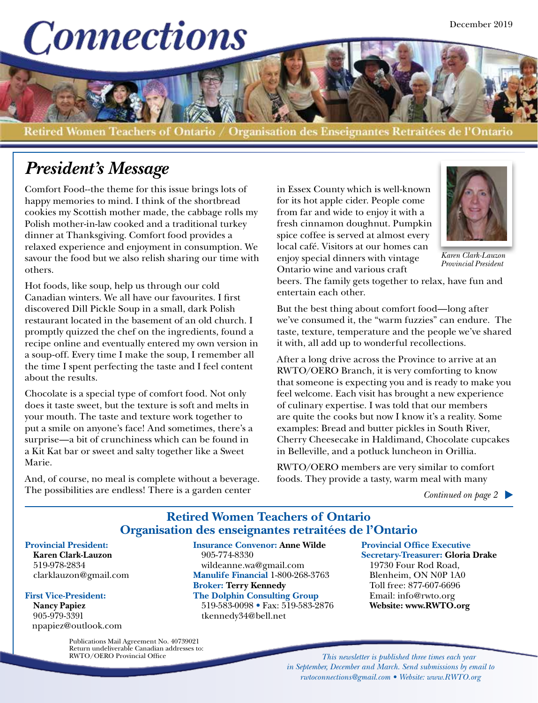

# *President's Message*

Comfort Food--the theme for this issue brings lots of happy memories to mind. I think of the shortbread cookies my Scottish mother made, the cabbage rolls my Polish mother-in-law cooked and a traditional turkey dinner at Thanksgiving. Comfort food provides a relaxed experience and enjoyment in consumption. We savour the food but we also relish sharing our time with others.

Hot foods, like soup, help us through our cold Canadian winters. We all have our favourites. I first discovered Dill Pickle Soup in a small, dark Polish restaurant located in the basement of an old church. I promptly quizzed the chef on the ingredients, found a recipe online and eventually entered my own version in a soup-off. Every time I make the soup, I remember all the time I spent perfecting the taste and I feel content about the results.

Chocolate is a special type of comfort food. Not only does it taste sweet, but the texture is soft and melts in your mouth. The taste and texture work together to put a smile on anyone's face! And sometimes, there's a surprise—a bit of crunchiness which can be found in a Kit Kat bar or sweet and salty together like a Sweet Marie.

And, of course, no meal is complete without a beverage. The possibilities are endless! There is a garden center

in Essex County which is well-known for its hot apple cider. People come from far and wide to enjoy it with a fresh cinnamon doughnut. Pumpkin spice coffee is served at almost every local café. Visitors at our homes can enjoy special dinners with vintage Ontario wine and various craft



*Karen Clark-Lauzon Provincial President*

beers. The family gets together to relax, have fun and entertain each other.

But the best thing about comfort food—long after we've consumed it, the "warm fuzzies" can endure. The taste, texture, temperature and the people we've shared it with, all add up to wonderful recollections.

After a long drive across the Province to arrive at an RWTO/OERO Branch, it is very comforting to know that someone is expecting you and is ready to make you feel welcome. Each visit has brought a new experience of culinary expertise. I was told that our members are quite the cooks but now I know it's a reality. Some examples: Bread and butter pickles in South River, Cherry Cheesecake in Haldimand, Chocolate cupcakes in Belleville, and a potluck luncheon in Orillia.

RWTO/OERO members are very similar to comfort foods. They provide a tasty, warm meal with many

*Continued on page 2*

## **Retired Women Teachers of Ontario Organisation des enseignantes retraitées de l'Ontario**

#### **Provincial President:**

**Karen Clark-Lauzon** 519-978-2834 clarklauzon@gmail.com

#### **First Vice-President:**

**Nancy Papiez**  905-979-3391 npapiez@outlook.com

**Insurance Convenor: Anne Wilde** 905-774-8330 wildeanne.wa@gmail.com **Manulife Financial** 1-800-268-3763 **Broker: Terry Kennedy The Dolphin Consulting Group** 519-583-0098 • Fax: 519-583-2876 [tkennedy34@bell.net](mailto:tkennedy34@bell.net)

**Provincial Office Executive Secretary-Treasurer: Gloria Drake** 19730 Four Rod Road, Blenheim, ON N0P 1A0 Toll free: 877-607-6696 Email: info@rwto.org **Website: www.RWTO.org**

Publications Mail Agreement No. 40739021 Return undeliverable Canadian addresses to: RWTO/OERO Provincial Office

*This newsletter is published three times each year in September, December and March. Send submissions by email to rwtoconnections@gmail.com • Website: www.RWTO.org*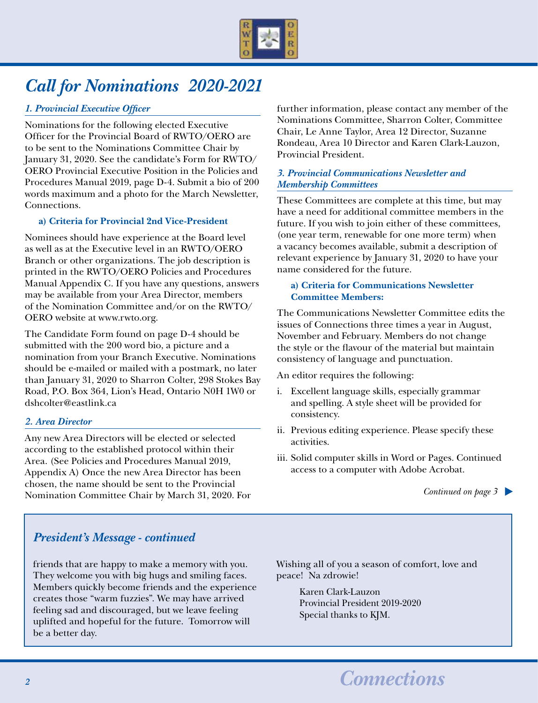

# *Call for Nominations 2020-2021*

### *1. Provincial Executive Officer*

Nominations for the following elected Executive Officer for the Provincial Board of RWTO/OERO are to be sent to the Nominations Committee Chair by January 31, 2020. See the candidate's Form for RWTO/ OERO Provincial Executive Position in the Policies and Procedures Manual 2019, page D-4. Submit a bio of 200 words maximum and a photo for the March Newsletter, Connections.

#### **a) Criteria for Provincial 2nd Vice-President**

Nominees should have experience at the Board level as well as at the Executive level in an RWTO/OERO Branch or other organizations. The job description is printed in the RWTO/OERO Policies and Procedures Manual Appendix C. If you have any questions, answers may be available from your Area Director, members of the Nomination Committee and/or on the RWTO/ OERO website at www.rwto.org.

The Candidate Form found on page D-4 should be submitted with the 200 word bio, a picture and a nomination from your Branch Executive. Nominations should be e-mailed or mailed with a postmark, no later than January 31, 2020 to Sharron Colter, 298 Stokes Bay Road, P.O. Box 364, Lion's Head, Ontario N0H 1W0 or dshcolter@eastlink.ca

#### *2. Area Director*

Any new Area Directors will be elected or selected according to the established protocol within their Area. (See Policies and Procedures Manual 2019, Appendix A) Once the new Area Director has been chosen, the name should be sent to the Provincial Nomination Committee Chair by March 31, 2020. For

further information, please contact any member of the Nominations Committee, Sharron Colter, Committee Chair, Le Anne Taylor, Area 12 Director, Suzanne Rondeau, Area 10 Director and Karen Clark-Lauzon, Provincial President.

#### *3. Provincial Communications Newsletter and Membership Committees*

These Committees are complete at this time, but may have a need for additional committee members in the future. If you wish to join either of these committees, (one year term, renewable for one more term) when a vacancy becomes available, submit a description of relevant experience by January 31, 2020 to have your name considered for the future.

#### **a) Criteria for Communications Newsletter Committee Members:**

The Communications Newsletter Committee edits the issues of Connections three times a year in August, November and February. Members do not change the style or the flavour of the material but maintain consistency of language and punctuation.

An editor requires the following:

- i. Excellent language skills, especially grammar and spelling. A style sheet will be provided for consistency.
- ii. Previous editing experience. Please specify these activities.
- iii. Solid computer skills in Word or Pages. Continued access to a computer with Adobe Acrobat.

*Continued on page 3*

### *President's Message - continued*

friends that are happy to make a memory with you. They welcome you with big hugs and smiling faces. Members quickly become friends and the experience creates those "warm fuzzies". We may have arrived feeling sad and discouraged, but we leave feeling uplifted and hopeful for the future. Tomorrow will be a better day.

Wishing all of you a season of comfort, love and peace! Na zdrowie!

> Karen Clark-Lauzon Provincial President 2019-2020 Special thanks to KJM.

# *Connections*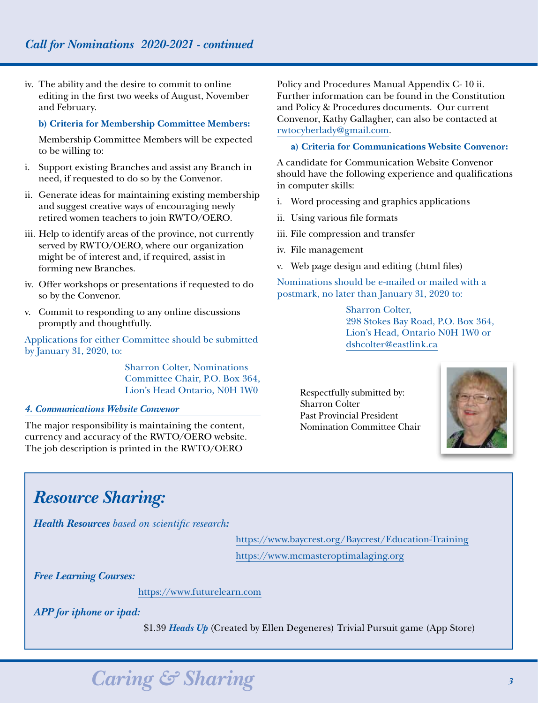iv. The ability and the desire to commit to online editing in the first two weeks of August, November and February.

#### **b) Criteria for Membership Committee Members:**

Membership Committee Members will be expected to be willing to:

- i. Support existing Branches and assist any Branch in need, if requested to do so by the Convenor.
- ii. Generate ideas for maintaining existing membership and suggest creative ways of encouraging newly retired women teachers to join RWTO/OERO.
- iii. Help to identify areas of the province, not currently served by RWTO/OERO, where our organization might be of interest and, if required, assist in forming new Branches.
- iv. Offer workshops or presentations if requested to do so by the Convenor.
- v. Commit to responding to any online discussions promptly and thoughtfully.

Applications for either Committee should be submitted by January 31, 2020, to:

> Sharron Colter, Nominations Committee Chair, P.O. Box 364, Lion's Head Ontario, N0H 1W0

#### *4. Communications Website Convenor*

The major responsibility is maintaining the content, currency and accuracy of the RWTO/OERO website. The job description is printed in the RWTO/OERO

Policy and Procedures Manual Appendix C- 10 ii. Further information can be found in the Constitution and Policy & Procedures documents. Our current Convenor, Kathy Gallagher, can also be contacted at rwtocyberlady@gmail.com.

#### **a) Criteria for Communications Website Convenor:**

A candidate for Communication Website Convenor should have the following experience and qualifications in computer skills:

- i. Word processing and graphics applications
- ii. Using various file formats
- iii. File compression and transfer
- iv. File management
- v. Web page design and editing (.html files)

Nominations should be e-mailed or mailed with a postmark, no later than January 31, 2020 to:

> Sharron Colter, 298 Stokes Bay Road, P.O. Box 364, Lion's Head, Ontario N0H 1W0 or dshcolter@eastlink.ca

Respectfully submitted by: Sharron Colter Past Provincial President Nomination Committee Chair



# *Resource Sharing:*

*Health Resources based on scientific research:*

https://www.baycrest.org/Baycrest/Education-Training https://www.mcmasteroptimalaging.org

*Free Learning Courses:* 

https://www.futurelearn.com

*APP for iphone or ipad:*

\$1.39 *Heads Up* (Created by Ellen Degeneres) Trivial Pursuit game (App Store)

# *Caring & Sharing* 3*3*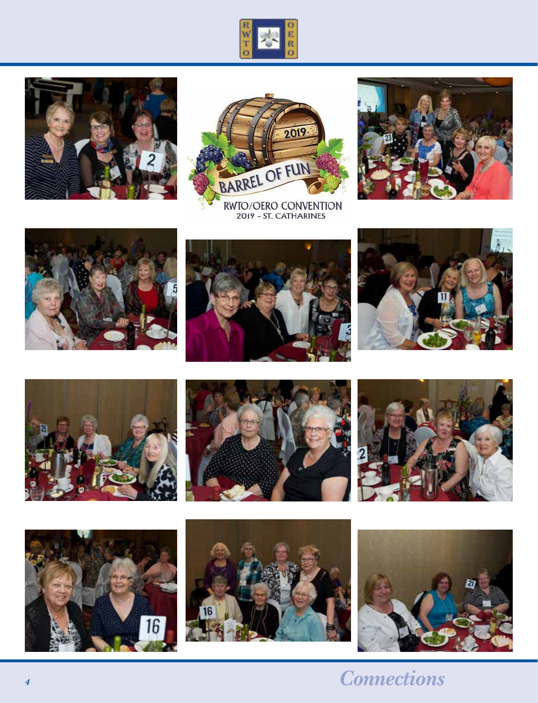





 $\begin{array}{c} \text{RWTO/OERO CONVENTION} \\ \text{2019 - ST. CATHARINES} \end{array}$ 





















# *<sup>4</sup> Connections*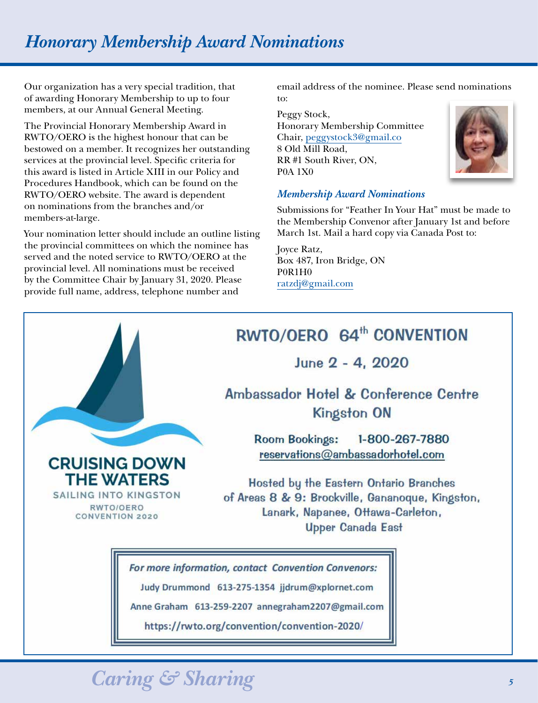# *Honorary Membership Award Nominations*

Our organization has a very special tradition, that of awarding Honorary Membership to up to four members, at our Annual General Meeting.

The Provincial Honorary Membership Award in RWTO/OERO is the highest honour that can be bestowed on a member. It recognizes her outstanding services at the provincial level. Specific criteria for this award is listed in Article XIII in our Policy and Procedures Handbook, which can be found on the RWTO/OERO website. The award is dependent on nominations from the branches and/or members-at-large.

Your nomination letter should include an outline listing the provincial committees on which the nominee has served and the noted service to RWTO/OERO at the provincial level. All nominations must be received by the Committee Chair by January 31, 2020. Please provide full name, address, telephone number and

email address of the nominee. Please send nominations to:

Peggy Stock, Honorary Membership Committee Chair, peggystock3@gmail.co 8 Old Mill Road, RR #1 South River, ON, P0A 1X0

### *Membership Award Nominations*

Submissions for "Feather In Your Hat" must be made to the Membership Convenor after January 1st and before March 1st. Mail a hard copy via Canada Post to:

Joyce Ratz, Box 487, Iron Bridge, ON P0R1H0 ratzdj@gmail.com



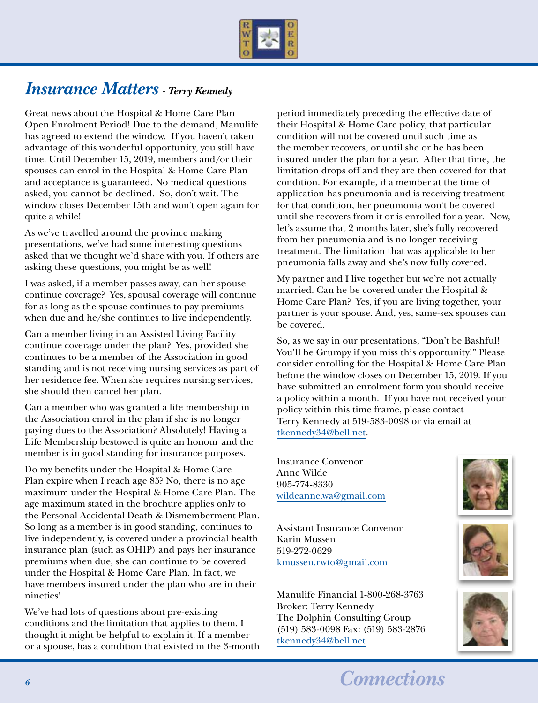

# *Insurance Matters - Terry Kennedy*

Great news about the Hospital & Home Care Plan Open Enrolment Period! Due to the demand, Manulife has agreed to extend the window. If you haven't taken advantage of this wonderful opportunity, you still have time. Until December 15, 2019, members and/or their spouses can enrol in the Hospital & Home Care Plan and acceptance is guaranteed. No medical questions asked, you cannot be declined. So, don't wait. The window closes December 15th and won't open again for quite a while!

As we've travelled around the province making presentations, we've had some interesting questions asked that we thought we'd share with you. If others are asking these questions, you might be as well!

I was asked, if a member passes away, can her spouse continue coverage? Yes, spousal coverage will continue for as long as the spouse continues to pay premiums when due and he/she continues to live independently.

Can a member living in an Assisted Living Facility continue coverage under the plan? Yes, provided she continues to be a member of the Association in good standing and is not receiving nursing services as part of her residence fee. When she requires nursing services, she should then cancel her plan.

Can a member who was granted a life membership in the Association enrol in the plan if she is no longer paying dues to the Association? Absolutely! Having a Life Membership bestowed is quite an honour and the member is in good standing for insurance purposes.

Do my benefits under the Hospital & Home Care Plan expire when I reach age 85? No, there is no age maximum under the Hospital & Home Care Plan. The age maximum stated in the brochure applies only to the Personal Accidental Death & Dismemberment Plan. So long as a member is in good standing, continues to live independently, is covered under a provincial health insurance plan (such as OHIP) and pays her insurance premiums when due, she can continue to be covered under the Hospital & Home Care Plan. In fact, we have members insured under the plan who are in their nineties!

We've had lots of questions about pre-existing conditions and the limitation that applies to them. I thought it might be helpful to explain it. If a member or a spouse, has a condition that existed in the 3-month

period immediately preceding the effective date of their Hospital & Home Care policy, that particular condition will not be covered until such time as the member recovers, or until she or he has been insured under the plan for a year. After that time, the limitation drops off and they are then covered for that condition. For example, if a member at the time of application has pneumonia and is receiving treatment for that condition, her pneumonia won't be covered until she recovers from it or is enrolled for a year. Now, let's assume that 2 months later, she's fully recovered from her pneumonia and is no longer receiving treatment. The limitation that was applicable to her pneumonia falls away and she's now fully covered.

My partner and I live together but we're not actually married. Can he be covered under the Hospital & Home Care Plan? Yes, if you are living together, your partner is your spouse. And, yes, same-sex spouses can be covered.

So, as we say in our presentations, "Don't be Bashful! You'll be Grumpy if you miss this opportunity!" Please consider enrolling for the Hospital & Home Care Plan before the window closes on December 15, 2019. If you have submitted an enrolment form you should receive a policy within a month. If you have not received your policy within this time frame, please contact Terry Kennedy at 519-583-0098 or via email at tkennedy34@bell.net.

Insurance Convenor Anne Wilde 905-774-8330 wildeanne.wa@gmail.com

Assistant Insurance Convenor Karin Mussen 519-272-0629 kmussen.rwto@gmail.com

Manulife Financial 1-800-268-3763 Broker: Terry Kennedy The Dolphin Consulting Group (519) 583-0098 Fax: (519) 583-2876 tkennedy34@bell.net





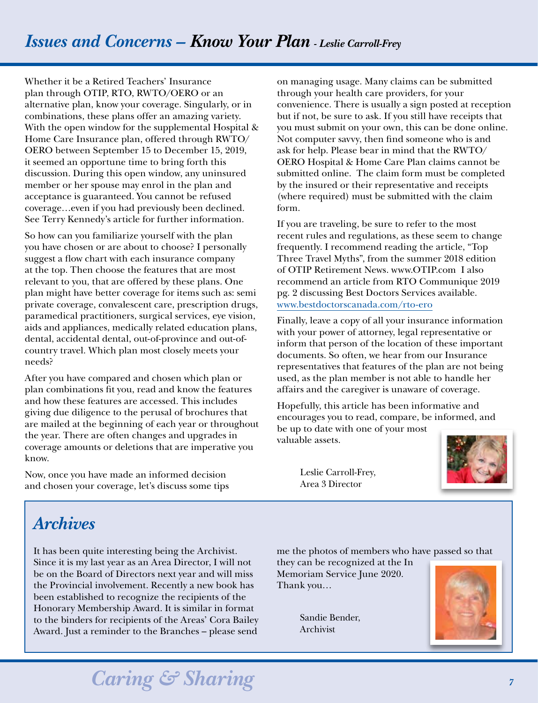Whether it be a Retired Teachers' Insurance plan through OTIP, RTO, RWTO/OERO or an alternative plan, know your coverage. Singularly, or in combinations, these plans offer an amazing variety. With the open window for the supplemental Hospital & Home Care Insurance plan, offered through RWTO/ OERO between September 15 to December 15, 2019, it seemed an opportune time to bring forth this discussion. During this open window, any uninsured member or her spouse may enrol in the plan and acceptance is guaranteed. You cannot be refused coverage…even if you had previously been declined. See Terry Kennedy's article for further information.

So how can you familiarize yourself with the plan you have chosen or are about to choose? I personally suggest a flow chart with each insurance company at the top. Then choose the features that are most relevant to you, that are offered by these plans. One plan might have better coverage for items such as: semi private coverage, convalescent care, prescription drugs, paramedical practitioners, surgical services, eye vision, aids and appliances, medically related education plans, dental, accidental dental, out-of-province and out-ofcountry travel. Which plan most closely meets your needs?

After you have compared and chosen which plan or plan combinations fit you, read and know the features and how these features are accessed. This includes giving due diligence to the perusal of brochures that are mailed at the beginning of each year or throughout the year. There are often changes and upgrades in coverage amounts or deletions that are imperative you know.

Now, once you have made an informed decision and chosen your coverage, let's discuss some tips

on managing usage. Many claims can be submitted through your health care providers, for your convenience. There is usually a sign posted at reception but if not, be sure to ask. If you still have receipts that you must submit on your own, this can be done online. Not computer savvy, then find someone who is and ask for help. Please bear in mind that the RWTO/ OERO Hospital & Home Care Plan claims cannot be submitted online. The claim form must be completed by the insured or their representative and receipts (where required) must be submitted with the claim form.

If you are traveling, be sure to refer to the most recent rules and regulations, as these seem to change frequently. I recommend reading the article, "Top Three Travel Myths", from the summer 2018 edition of OTIP Retirement News. www.OTIP.com I also recommend an article from RTO Communique 2019 pg. 2 discussing Best Doctors Services available. www.bestdoctorscanada.com/rto-ero

Finally, leave a copy of all your insurance information with your power of attorney, legal representative or inform that person of the location of these important documents. So often, we hear from our Insurance representatives that features of the plan are not being used, as the plan member is not able to handle her affairs and the caregiver is unaware of coverage.

Hopefully, this article has been informative and encourages you to read, compare, be informed, and be up to date with one of your most valuable assets.

> Leslie Carroll-Frey, Area 3 Director



# *Archives*

It has been quite interesting being the Archivist. Since it is my last year as an Area Director, I will not be on the Board of Directors next year and will miss the Provincial involvement. Recently a new book has been established to recognize the recipients of the Honorary Membership Award. It is similar in format to the binders for recipients of the Areas' Cora Bailey Award. Just a reminder to the Branches – please send

me the photos of members who have passed so that

they can be recognized at the In Memoriam Service June 2020. Thank you…

> Sandie Bender, Archivist



# *Caring & Sharing 7*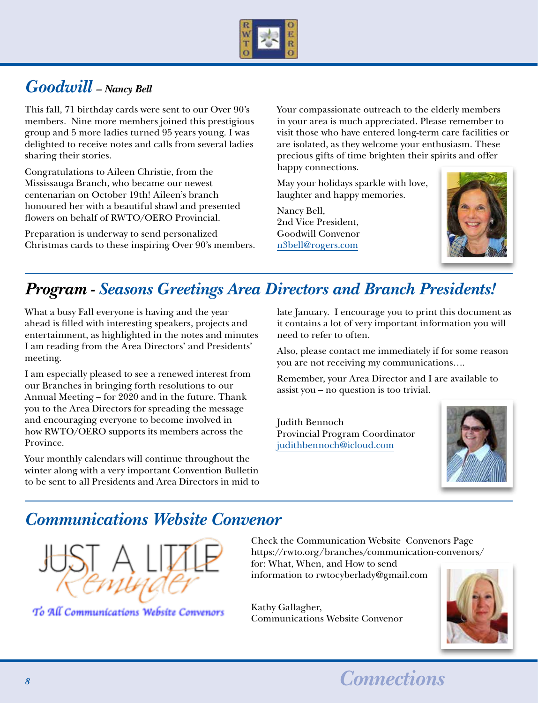

# *Goodwill – Nancy Bell*

This fall, 71 birthday cards were sent to our Over 90's members. Nine more members joined this prestigious group and 5 more ladies turned 95 years young. I was delighted to receive notes and calls from several ladies sharing their stories.

Congratulations to Aileen Christie, from the Mississauga Branch, who became our newest centenarian on October 19th! Aileen's branch honoured her with a beautiful shawl and presented flowers on behalf of RWTO/OERO Provincial.

Preparation is underway to send personalized Christmas cards to these inspiring Over 90's members. Your compassionate outreach to the elderly members in your area is much appreciated. Please remember to visit those who have entered long-term care facilities or are isolated, as they welcome your enthusiasm. These precious gifts of time brighten their spirits and offer happy connections.

May your holidays sparkle with love, laughter and happy memories.

Nancy Bell, 2nd Vice President, Goodwill Convenor n3bell@rogers.com



# *Program - Seasons Greetings Area Directors and Branch Presidents!*

What a busy Fall everyone is having and the year ahead is filled with interesting speakers, projects and entertainment, as highlighted in the notes and minutes I am reading from the Area Directors' and Presidents' meeting.

I am especially pleased to see a renewed interest from our Branches in bringing forth resolutions to our Annual Meeting – for 2020 and in the future. Thank you to the Area Directors for spreading the message and encouraging everyone to become involved in how RWTO/OERO supports its members across the Province.

Your monthly calendars will continue throughout the winter along with a very important Convention Bulletin to be sent to all Presidents and Area Directors in mid to

late January. I encourage you to print this document as it contains a lot of very important information you will need to refer to often.

Also, please contact me immediately if for some reason you are not receiving my communications….

Remember, your Area Director and I are available to assist you – no question is too trivial.

Judith Bennoch Provincial Program Coordinator judithbennoch@icloud.com



# *Communications Website Convenor*



To All Communications Website Convenors

Check the Communication Website Convenors Page https://rwto.org/branches/communication-convenors/ for: What, When, and How to send information to rwtocyberlady@gmail.com

Kathy Gallagher, Communications Website Convenor



*<sup>8</sup> Connections*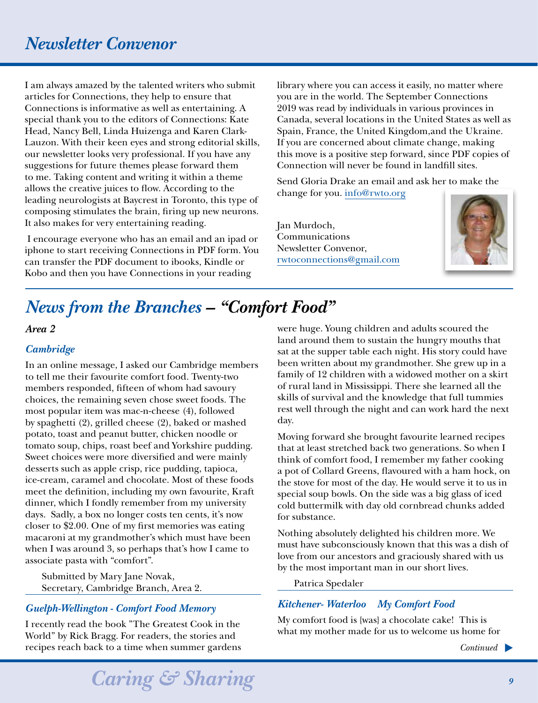I am always amazed by the talented writers who submit articles for Connections, they help to ensure that Connections is informative as well as entertaining. A special thank you to the editors of Connections: Kate Head, Nancy Bell, Linda Huizenga and Karen Clark-Lauzon. With their keen eyes and strong editorial skills, our newsletter looks very professional. If you have any suggestions for future themes please forward them to me. Taking content and writing it within a theme allows the creative juices to flow. According to the leading neurologists at Baycrest in Toronto, this type of composing stimulates the brain, firing up new neurons. It also makes for very entertaining reading.

 I encourage everyone who has an email and an ipad or iphone to start receiving Connections in PDF form. You can transfer the PDF document to ibooks, Kindle or Kobo and then you have Connections in your reading

library where you can access it easily, no matter where you are in the world. The September Connections 2019 was read by individuals in various provinces in Canada, several locations in the United States as well as Spain, France, the United Kingdom,and the Ukraine. If you are concerned about climate change, making this move is a positive step forward, since PDF copies of Connection will never be found in landfill sites.

Send Gloria Drake an email and ask her to make the change for you. info@rwto.org

Jan Murdoch, Communications Newsletter Convenor, rwtoconnections@gmail.com



# *News from the Branches – "Comfort Food"*

#### *Area 2*

### *Cambridge*

In an online message, I asked our Cambridge members to tell me their favourite comfort food. Twenty-two members responded, fifteen of whom had savoury choices, the remaining seven chose sweet foods. The most popular item was mac-n-cheese (4), followed by spaghetti (2), grilled cheese (2), baked or mashed potato, toast and peanut butter, chicken noodle or tomato soup, chips, roast beef and Yorkshire pudding. Sweet choices were more diversified and were mainly desserts such as apple crisp, rice pudding, tapioca, ice-cream, caramel and chocolate. Most of these foods meet the definition, including my own favourite, Kraft dinner, which I fondly remember from my university days. Sadly, a box no longer costs ten cents, it's now closer to \$2.00. One of my first memories was eating macaroni at my grandmother's which must have been when I was around 3, so perhaps that's how I came to associate pasta with "comfort".

Submitted by Mary Jane Novak, Secretary, Cambridge Branch, Area 2.

### *Guelph-Wellington - Comfort Food Memory*

I recently read the book "The Greatest Cook in the World" by Rick Bragg. For readers, the stories and recipes reach back to a time when summer gardens were huge. Young children and adults scoured the land around them to sustain the hungry mouths that sat at the supper table each night. His story could have been written about my grandmother. She grew up in a family of 12 children with a widowed mother on a skirt of rural land in Mississippi. There she learned all the skills of survival and the knowledge that full tummies rest well through the night and can work hard the next day.

Moving forward she brought favourite learned recipes that at least stretched back two generations. So when I think of comfort food, I remember my father cooking a pot of Collard Greens, flavoured with a ham hock, on the stove for most of the day. He would serve it to us in special soup bowls. On the side was a big glass of iced cold buttermilk with day old cornbread chunks added for substance.

Nothing absolutely delighted his children more. We must have subconsciously known that this was a dish of love from our ancestors and graciously shared with us by the most important man in our short lives.

Patrica Spedaler

#### *Kitchener- Waterloo My Comfort Food*

My comfort food is {was} a chocolate cake! This is what my mother made for us to welcome us home for

*Continued*

**Caring & Sharing 9**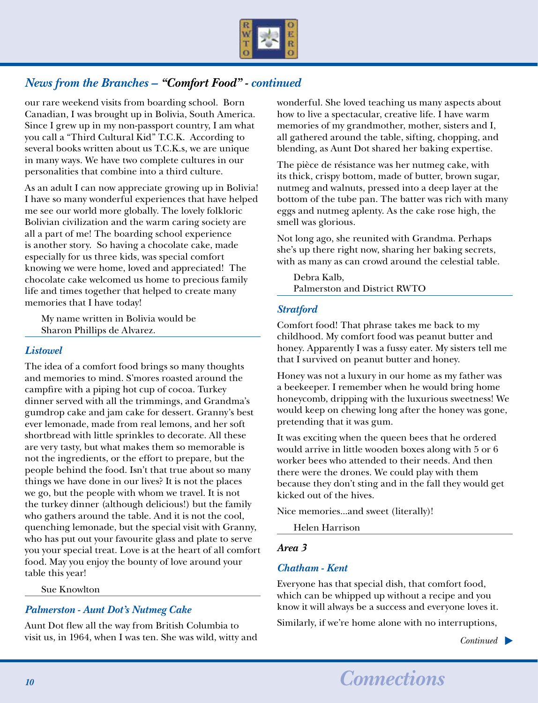

## *News from the Branches – "Comfort Food" - continued*

our rare weekend visits from boarding school. Born Canadian, I was brought up in Bolivia, South America. Since I grew up in my non-passport country, I am what you call a "Third Cultural Kid" T.C.K. According to several books written about us T.C.K.s, we are unique in many ways. We have two complete cultures in our personalities that combine into a third culture.

As an adult I can now appreciate growing up in Bolivia! I have so many wonderful experiences that have helped me see our world more globally. The lovely folkloric Bolivian civilization and the warm caring society are all a part of me! The boarding school experience is another story. So having a chocolate cake, made especially for us three kids, was special comfort knowing we were home, loved and appreciated! The chocolate cake welcomed us home to precious family life and times together that helped to create many memories that I have today!

My name written in Bolivia would be Sharon Phillips de Alvarez.

#### *Listowel*

The idea of a comfort food brings so many thoughts and memories to mind. S'mores roasted around the campfire with a piping hot cup of cocoa. Turkey dinner served with all the trimmings, and Grandma's gumdrop cake and jam cake for dessert. Granny's best ever lemonade, made from real lemons, and her soft shortbread with little sprinkles to decorate. All these are very tasty, but what makes them so memorable is not the ingredients, or the effort to prepare, but the people behind the food. Isn't that true about so many things we have done in our lives? It is not the places we go, but the people with whom we travel. It is not the turkey dinner (although delicious!) but the family who gathers around the table. And it is not the cool, quenching lemonade, but the special visit with Granny, who has put out your favourite glass and plate to serve you your special treat. Love is at the heart of all comfort food. May you enjoy the bounty of love around your table this year!

Sue Knowlton

#### *Palmerston - Aunt Dot's Nutmeg Cake*

Aunt Dot flew all the way from British Columbia to visit us, in 1964, when I was ten. She was wild, witty and wonderful. She loved teaching us many aspects about how to live a spectacular, creative life. I have warm memories of my grandmother, mother, sisters and I, all gathered around the table, sifting, chopping, and blending, as Aunt Dot shared her baking expertise.

The pièce de résistance was her nutmeg cake, with its thick, crispy bottom, made of butter, brown sugar, nutmeg and walnuts, pressed into a deep layer at the bottom of the tube pan. The batter was rich with many eggs and nutmeg aplenty. As the cake rose high, the smell was glorious.

Not long ago, she reunited with Grandma. Perhaps she's up there right now, sharing her baking secrets, with as many as can crowd around the celestial table.

Debra Kalb, Palmerston and District RWTO

#### *Stratford*

Comfort food! That phrase takes me back to my childhood. My comfort food was peanut butter and honey. Apparently I was a fussy eater. My sisters tell me that I survived on peanut butter and honey.

Honey was not a luxury in our home as my father was a beekeeper. I remember when he would bring home honeycomb, dripping with the luxurious sweetness! We would keep on chewing long after the honey was gone, pretending that it was gum.

It was exciting when the queen bees that he ordered would arrive in little wooden boxes along with 5 or 6 worker bees who attended to their needs. And then there were the drones. We could play with them because they don't sting and in the fall they would get kicked out of the hives.

Nice memories...and sweet (literally)!

Helen Harrison

#### *Area 3*

#### *Chatham - Kent*

Everyone has that special dish, that comfort food, which can be whipped up without a recipe and you know it will always be a success and everyone loves it.

Similarly, if we're home alone with no interruptions,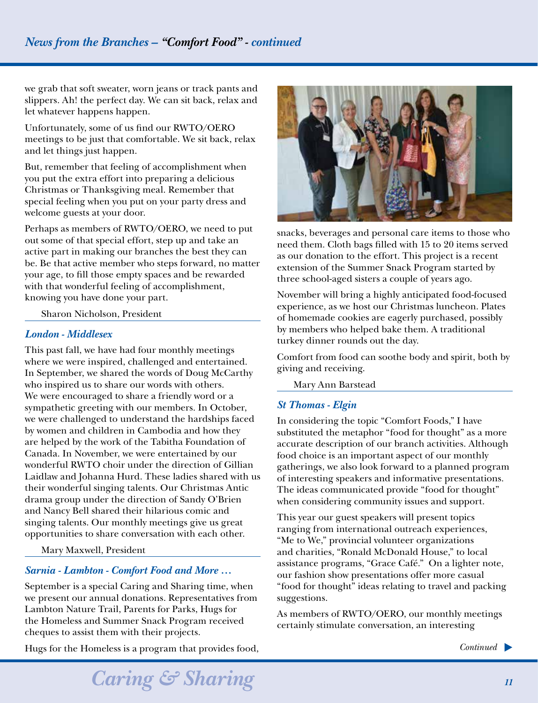we grab that soft sweater, worn jeans or track pants and slippers. Ah! the perfect day. We can sit back, relax and let whatever happens happen.

Unfortunately, some of us find our RWTO/OERO meetings to be just that comfortable. We sit back, relax and let things just happen.

But, remember that feeling of accomplishment when you put the extra effort into preparing a delicious Christmas or Thanksgiving meal. Remember that special feeling when you put on your party dress and welcome guests at your door.

Perhaps as members of RWTO/OERO, we need to put out some of that special effort, step up and take an active part in making our branches the best they can be. Be that active member who steps forward, no matter your age, to fill those empty spaces and be rewarded with that wonderful feeling of accomplishment, knowing you have done your part.

Sharon Nicholson, President

#### *London - Middlesex*

This past fall, we have had four monthly meetings where we were inspired, challenged and entertained. In September, we shared the words of Doug McCarthy who inspired us to share our words with others. We were encouraged to share a friendly word or a sympathetic greeting with our members. In October, we were challenged to understand the hardships faced by women and children in Cambodia and how they are helped by the work of the Tabitha Foundation of Canada. In November, we were entertained by our wonderful RWTO choir under the direction of Gillian Laidlaw and Johanna Hurd. These ladies shared with us their wonderful singing talents. Our Christmas Antic drama group under the direction of Sandy O'Brien and Nancy Bell shared their hilarious comic and singing talents. Our monthly meetings give us great opportunities to share conversation with each other.

Mary Maxwell, President

#### *Sarnia - Lambton - Comfort Food and More …*

September is a special Caring and Sharing time, when we present our annual donations. Representatives from Lambton Nature Trail, Parents for Parks, Hugs for the Homeless and Summer Snack Program received cheques to assist them with their projects.

Hugs for the Homeless is a program that provides food,



snacks, beverages and personal care items to those who need them. Cloth bags filled with 15 to 20 items served as our donation to the effort. This project is a recent extension of the Summer Snack Program started by three school-aged sisters a couple of years ago.

November will bring a highly anticipated food-focused experience, as we host our Christmas luncheon. Plates of homemade cookies are eagerly purchased, possibly by members who helped bake them. A traditional turkey dinner rounds out the day.

Comfort from food can soothe body and spirit, both by giving and receiving.

Mary Ann Barstead

#### *St Thomas - Elgin*

In considering the topic "Comfort Foods," I have substituted the metaphor "food for thought" as a more accurate description of our branch activities. Although food choice is an important aspect of our monthly gatherings, we also look forward to a planned program of interesting speakers and informative presentations. The ideas communicated provide "food for thought" when considering community issues and support.

This year our guest speakers will present topics ranging from international outreach experiences, "Me to We," provincial volunteer organizations and charities, "Ronald McDonald House," to local assistance programs, "Grace Café." On a lighter note, our fashion show presentations offer more casual "food for thought" ideas relating to travel and packing suggestions.

As members of RWTO/OERO, our monthly meetings certainly stimulate conversation, an interesting

*Continued*

*Caring & Sharing 11*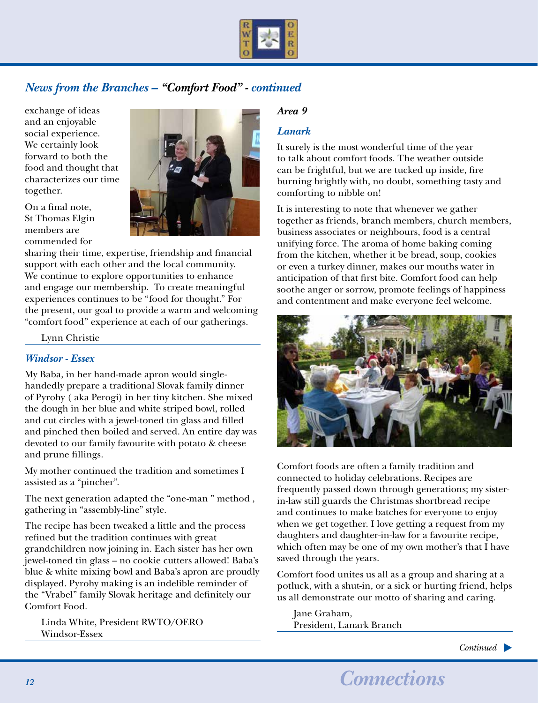

## *News from the Branches – "Comfort Food" - continued*

exchange of ideas and an enjoyable social experience. We certainly look forward to both the food and thought that characterizes our time together.

On a final note, St Thomas Elgin members are commended for



sharing their time, expertise, friendship and financial support with each other and the local community. We continue to explore opportunities to enhance and engage our membership. To create meaningful experiences continues to be "food for thought." For the present, our goal to provide a warm and welcoming "comfort food" experience at each of our gatherings.

Lynn Christie

#### *Windsor - Essex*

My Baba, in her hand-made apron would singlehandedly prepare a traditional Slovak family dinner of Pyrohy ( aka Perogi) in her tiny kitchen. She mixed the dough in her blue and white striped bowl, rolled and cut circles with a jewel-toned tin glass and filled and pinched then boiled and served. An entire day was devoted to our family favourite with potato & cheese and prune fillings.

My mother continued the tradition and sometimes I assisted as a "pincher".

The next generation adapted the "one-man " method , gathering in "assembly-line" style.

The recipe has been tweaked a little and the process refined but the tradition continues with great grandchildren now joining in. Each sister has her own jewel-toned tin glass – no cookie cutters allowed! Baba's blue & white mixing bowl and Baba's apron are proudly displayed. Pyrohy making is an indelible reminder of the "Vrabel" family Slovak heritage and definitely our Comfort Food.

Linda White, President RWTO/OERO Windsor-Essex

### *Area 9*

#### *Lanark*

It surely is the most wonderful time of the year to talk about comfort foods. The weather outside can be frightful, but we are tucked up inside, fire burning brightly with, no doubt, something tasty and comforting to nibble on!

It is interesting to note that whenever we gather together as friends, branch members, church members, business associates or neighbours, food is a central unifying force. The aroma of home baking coming from the kitchen, whether it be bread, soup, cookies or even a turkey dinner, makes our mouths water in anticipation of that first bite. Comfort food can help soothe anger or sorrow, promote feelings of happiness and contentment and make everyone feel welcome.



Comfort foods are often a family tradition and connected to holiday celebrations. Recipes are frequently passed down through generations; my sisterin-law still guards the Christmas shortbread recipe and continues to make batches for everyone to enjoy when we get together. I love getting a request from my daughters and daughter-in-law for a favourite recipe, which often may be one of my own mother's that I have saved through the years.

Comfort food unites us all as a group and sharing at a potluck, with a shut-in, or a sick or hurting friend, helps us all demonstrate our motto of sharing and caring.

Jane Graham, President, Lanark Branch

*Continued*

# *<sup>12</sup> Connections*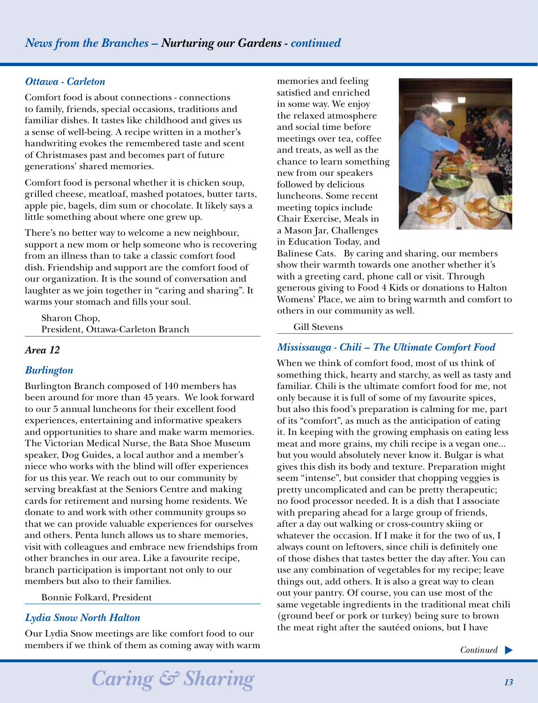### *Ottawa - Carleton*

Comfort food is about connections - connections to family, friends, special occasions, traditions and familiar dishes. It tastes like childhood and gives us a sense of well-being. A recipe written in a mother's handwriting evokes the remembered taste and scent of Christmases past and becomes part of future generations' shared memories.

Comfort food is personal whether it is chicken soup, grilled cheese, meatloaf, mashed potatoes, butter tarts, apple pie, bagels, dim sum or chocolate. It likely says a little something about where one grew up.

There's no better way to welcome a new neighbour, support a new mom or help someone who is recovering from an illness than to take a classic comfort food dish. Friendship and support are the comfort food of our organization. It is the sound of conversation and laughter as we join together in "caring and sharing". It warms your stomach and fills your soul.

Sharon Chop, President, Ottawa-Carleton Branch

#### *Area 12*

#### *Burlington*

Burlington Branch composed of 140 members has been around for more than 45 years. We look forward to our 5 annual luncheons for their excellent food experiences, entertaining and informative speakers and opportunities to share and make warm memories. The Victorian Medical Nurse, the Bata Shoe Museum speaker, Dog Guides, a local author and a member's niece who works with the blind will offer experiences for us this year. We reach out to our community by serving breakfast at the Seniors Centre and making cards for retirement and nursing home residents. We donate to and work with other community groups so that we can provide valuable experiences for ourselves and others. Penta lunch allows us to share memories, visit with colleagues and embrace new friendships from other branches in our area. Like a favourite recipe, branch participation is important not only to our members but also to their families.

Bonnie Folkard, President

### *Lydia Snow North Halton*

Our Lydia Snow meetings are like comfort food to our members if we think of them as coming away with warm

memories and feeling satisfied and enriched in some way. We enjoy the relaxed atmosphere and social time before meetings over tea, coffee and treats, as well as the chance to learn something new from our speakers followed by delicious luncheons. Some recent meeting topics include Chair Exercise, Meals in a Mason Jar, Challenges in Education Today, and



Balinese Cats. By caring and sharing, our members show their warmth towards one another whether it's with a greeting card, phone call or visit. Through generous giving to Food 4 Kids or donations to Halton Womens' Place, we aim to bring warmth and comfort to others in our community as well.

Gill Stevens

### *Mississauga - Chili – The Ultimate Comfort Food*

When we think of comfort food, most of us think of something thick, hearty and starchy, as well as tasty and familiar. Chili is the ultimate comfort food for me, not only because it is full of some of my favourite spices, but also this food's preparation is calming for me, part of its "comfort", as much as the anticipation of eating it. In keeping with the growing emphasis on eating less meat and more grains, my chili recipe is a vegan one... but you would absolutely never know it. Bulgar is what gives this dish its body and texture. Preparation might seem "intense", but consider that chopping veggies is pretty uncomplicated and can be pretty therapeutic; no food processor needed. It is a dish that I associate with preparing ahead for a large group of friends, after a day out walking or cross-country skiing or whatever the occasion. If I make it for the two of us, I always count on leftovers, since chili is definitely one of those dishes that tastes better the day after. You can use any combination of vegetables for my recipe; leave things out, add others. It is also a great way to clean out your pantry. Of course, you can use most of the same vegetable ingredients in the traditional meat chili (ground beef or pork or turkey) being sure to brown the meat right after the sautéed onions, but I have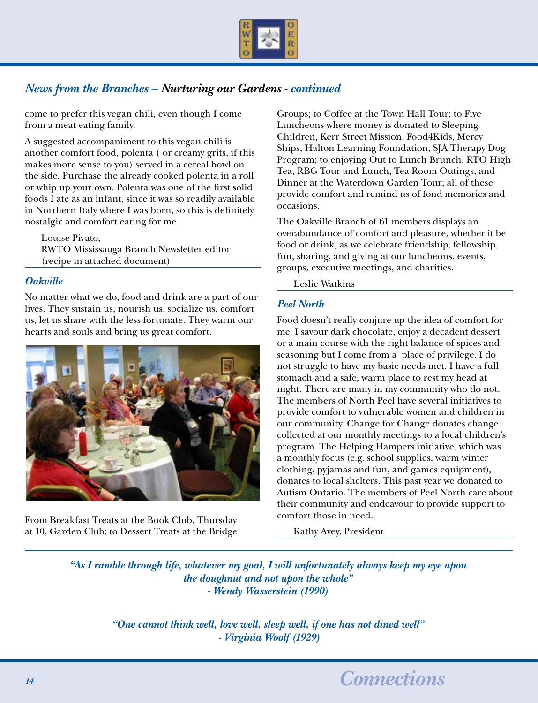

## *News from the Branches – Nurturing our Gardens - continued*

come to prefer this vegan chili, even though I come from a meat eating family.

A suggested accompaniment to this vegan chili is another comfort food, polenta ( or creamy grits, if this makes more sense to you) served in a cereal bowl on the side. Purchase the already cooked polenta in a roll or whip up your own. Polenta was one of the first solid foods I ate as an infant, since it was so readily available in Northern Italy where I was born, so this is definitely nostalgic and comfort eating for me.

Louise Pivato, RWTO Mississauga Branch Newsletter editor (recipe in attached document)

#### *Oakville*

No matter what we do, food and drink are a part of our lives. They sustain us, nourish us, socialize us, comfort us, let us share with the less fortunate. They warm our hearts and souls and bring us great comfort.



From Breakfast Treats at the Book Club, Thursday at 10, Garden Club; to Dessert Treats at the Bridge

Groups; to Coffee at the Town Hall Tour; to Five Luncheons where money is donated to Sleeping Children, Kerr Street Mission, Food4Kids, Mercy Ships, Halton Learning Foundation, SJA Therapy Dog Program; to enjoying Out to Lunch Brunch, RTO High Tea, RBG Tour and Lunch, Tea Room Outings, and Dinner at the Waterdown Garden Tour; all of these provide comfort and remind us of fond memories and occasions.

The Oakville Branch of 61 members displays an overabundance of comfort and pleasure, whether it be food or drink, as we celebrate friendship, fellowship, fun, sharing, and giving at our luncheons, events, groups, executive meetings, and charities.

Leslie Watkins

### *Peel North*

Food doesn't really conjure up the idea of comfort for me. I savour dark chocolate, enjoy a decadent dessert or a main course with the right balance of spices and seasoning but I come from a place of privilege. I do not struggle to have my basic needs met. I have a full stomach and a safe, warm place to rest my head at night. There are many in my community who do not. The members of North Peel have several initiatives to provide comfort to vulnerable women and children in our community. Change for Change donates change collected at our monthly meetings to a local children's program. The Helping Hampers initiative, which was a monthly focus (e.g. school supplies, warm winter clothing, pyjamas and fun, and games equipment), donates to local shelters. This past year we donated to Autism Ontario. The members of Peel North care about their community and endeavour to provide support to comfort those in need.

Kathy Avey, President

*"As I ramble through life, whatever my goal, I will unfortunately always keep my eye upon the doughnut and not upon the whole" - Wendy Wasserstein (1990)*

> *"One cannot think well, love well, sleep well, if one has not dined well" - Virginia Woolf (1929)*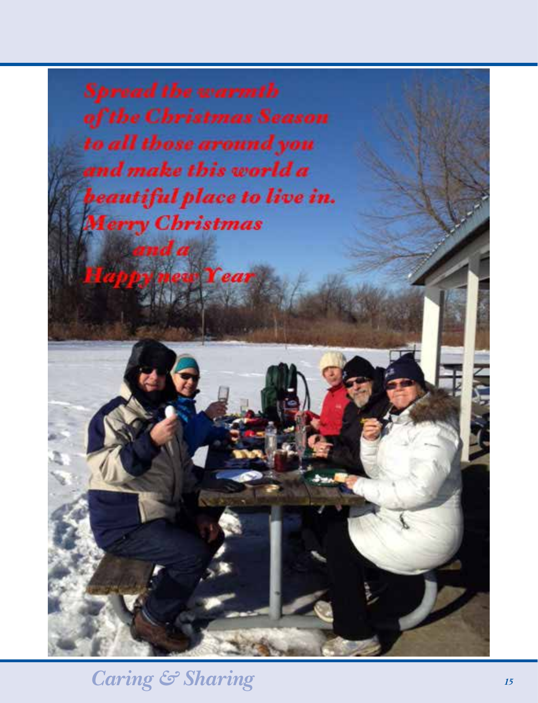